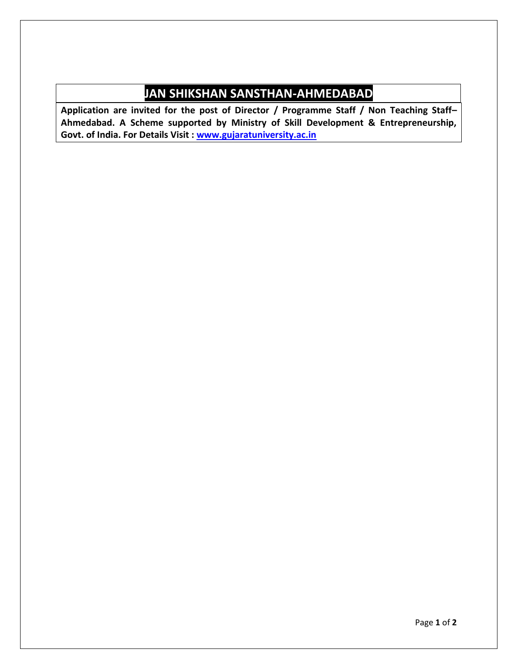## **JAN SHIKSHAN SANSTHAN-AHMEDABAD**

**Application are invited for the post of Director / Programme Staff / Non Teaching Staff– Ahmedabad. A Scheme supported by Ministry of Skill Development & Entrepreneurship, Govt. of India. For Details Visit : www.gujaratuniversity.ac.in**